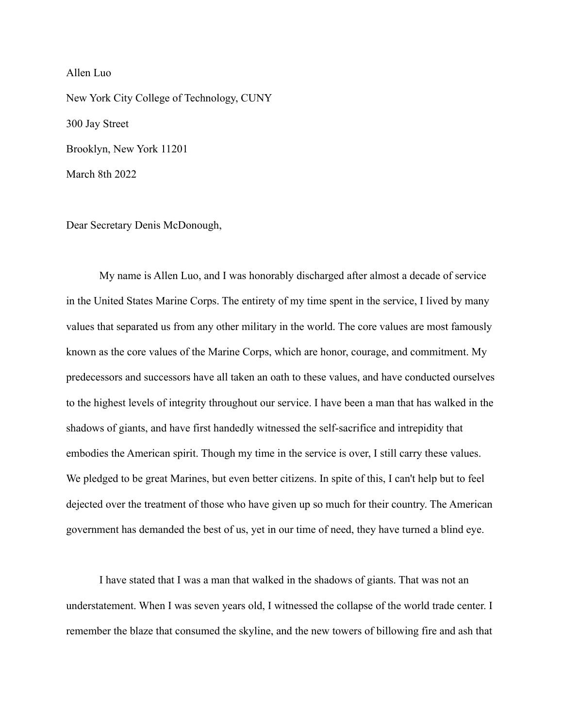## Allen Luo

New York City College of Technology, CUNY 300 Jay Street Brooklyn, New York 11201 March 8th 2022

Dear Secretary Denis McDonough,

My name is Allen Luo, and I was honorably discharged after almost a decade of service in the United States Marine Corps. The entirety of my time spent in the service, I lived by many values that separated us from any other military in the world. The core values are most famously known as the core values of the Marine Corps, which are honor, courage, and commitment. My predecessors and successors have all taken an oath to these values, and have conducted ourselves to the highest levels of integrity throughout our service. I have been a man that has walked in the shadows of giants, and have first handedly witnessed the self-sacrifice and intrepidity that embodies the American spirit. Though my time in the service is over, I still carry these values. We pledged to be great Marines, but even better citizens. In spite of this, I can't help but to feel dejected over the treatment of those who have given up so much for their country. The American government has demanded the best of us, yet in our time of need, they have turned a blind eye.

I have stated that I was a man that walked in the shadows of giants. That was not an understatement. When I was seven years old, I witnessed the collapse of the world trade center. I remember the blaze that consumed the skyline, and the new towers of billowing fire and ash that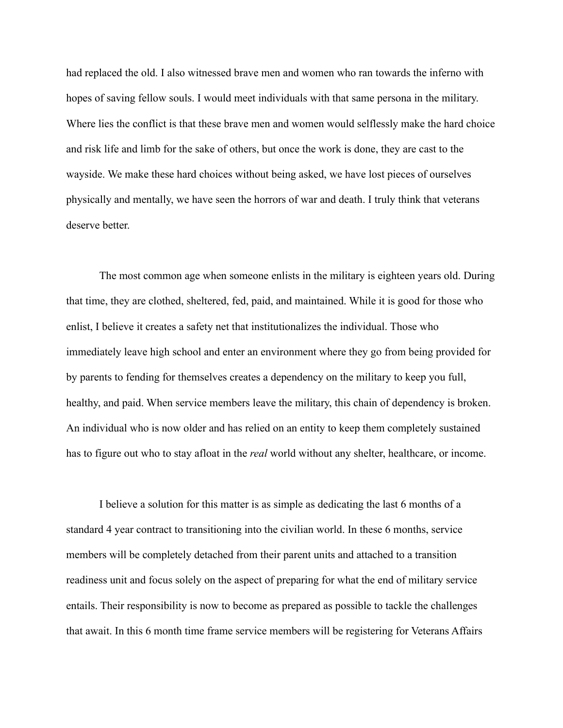had replaced the old. I also witnessed brave men and women who ran towards the inferno with hopes of saving fellow souls. I would meet individuals with that same persona in the military. Where lies the conflict is that these brave men and women would selflessly make the hard choice and risk life and limb for the sake of others, but once the work is done, they are cast to the wayside. We make these hard choices without being asked, we have lost pieces of ourselves physically and mentally, we have seen the horrors of war and death. I truly think that veterans deserve better.

The most common age when someone enlists in the military is eighteen years old. During that time, they are clothed, sheltered, fed, paid, and maintained. While it is good for those who enlist, I believe it creates a safety net that institutionalizes the individual. Those who immediately leave high school and enter an environment where they go from being provided for by parents to fending for themselves creates a dependency on the military to keep you full, healthy, and paid. When service members leave the military, this chain of dependency is broken. An individual who is now older and has relied on an entity to keep them completely sustained has to figure out who to stay afloat in the *real* world without any shelter, healthcare, or income.

I believe a solution for this matter is as simple as dedicating the last 6 months of a standard 4 year contract to transitioning into the civilian world. In these 6 months, service members will be completely detached from their parent units and attached to a transition readiness unit and focus solely on the aspect of preparing for what the end of military service entails. Their responsibility is now to become as prepared as possible to tackle the challenges that await. In this 6 month time frame service members will be registering for Veterans Affairs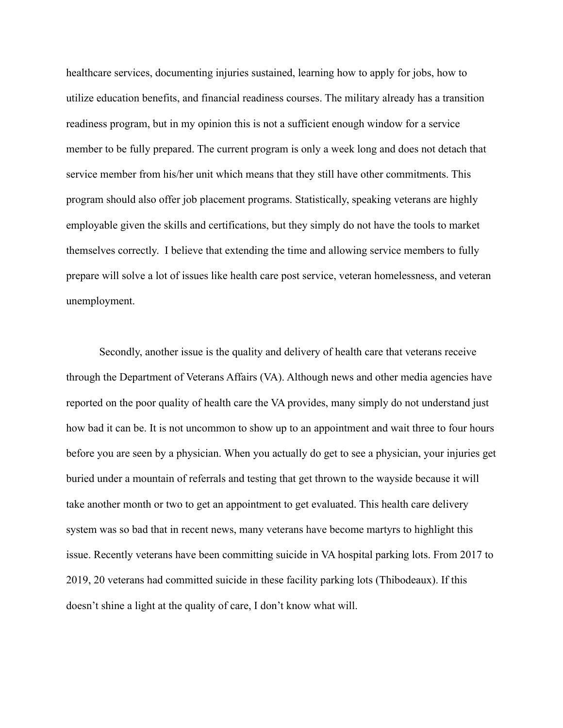healthcare services, documenting injuries sustained, learning how to apply for jobs, how to utilize education benefits, and financial readiness courses. The military already has a transition readiness program, but in my opinion this is not a sufficient enough window for a service member to be fully prepared. The current program is only a week long and does not detach that service member from his/her unit which means that they still have other commitments. This program should also offer job placement programs. Statistically, speaking veterans are highly employable given the skills and certifications, but they simply do not have the tools to market themselves correctly. I believe that extending the time and allowing service members to fully prepare will solve a lot of issues like health care post service, veteran homelessness, and veteran unemployment.

Secondly, another issue is the quality and delivery of health care that veterans receive through the Department of Veterans Affairs (VA). Although news and other media agencies have reported on the poor quality of health care the VA provides, many simply do not understand just how bad it can be. It is not uncommon to show up to an appointment and wait three to four hours before you are seen by a physician. When you actually do get to see a physician, your injuries get buried under a mountain of referrals and testing that get thrown to the wayside because it will take another month or two to get an appointment to get evaluated. This health care delivery system was so bad that in recent news, many veterans have become martyrs to highlight this issue. Recently veterans have been committing suicide in VA hospital parking lots. From 2017 to 2019, 20 veterans had committed suicide in these facility parking lots (Thibodeaux). If this doesn't shine a light at the quality of care, I don't know what will.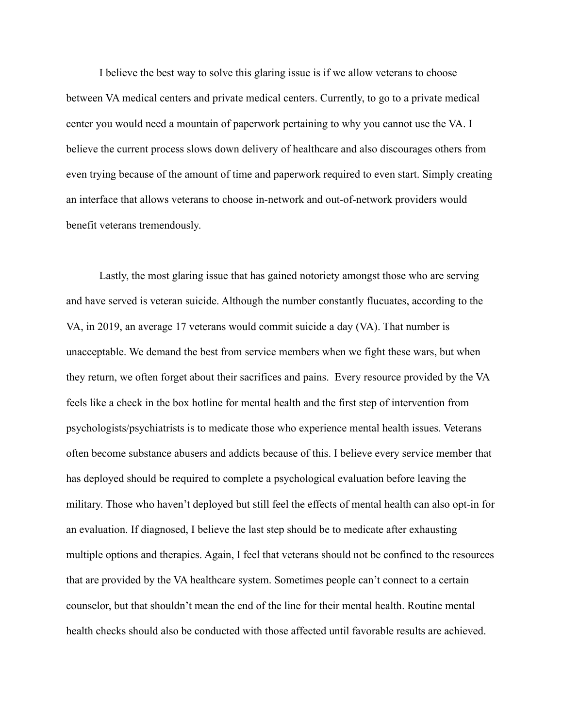I believe the best way to solve this glaring issue is if we allow veterans to choose between VA medical centers and private medical centers. Currently, to go to a private medical center you would need a mountain of paperwork pertaining to why you cannot use the VA. I believe the current process slows down delivery of healthcare and also discourages others from even trying because of the amount of time and paperwork required to even start. Simply creating an interface that allows veterans to choose in-network and out-of-network providers would benefit veterans tremendously.

Lastly, the most glaring issue that has gained notoriety amongst those who are serving and have served is veteran suicide. Although the number constantly flucuates, according to the VA, in 2019, an average 17 veterans would commit suicide a day (VA). That number is unacceptable. We demand the best from service members when we fight these wars, but when they return, we often forget about their sacrifices and pains. Every resource provided by the VA feels like a check in the box hotline for mental health and the first step of intervention from psychologists/psychiatrists is to medicate those who experience mental health issues. Veterans often become substance abusers and addicts because of this. I believe every service member that has deployed should be required to complete a psychological evaluation before leaving the military. Those who haven't deployed but still feel the effects of mental health can also opt-in for an evaluation. If diagnosed, I believe the last step should be to medicate after exhausting multiple options and therapies. Again, I feel that veterans should not be confined to the resources that are provided by the VA healthcare system. Sometimes people can't connect to a certain counselor, but that shouldn't mean the end of the line for their mental health. Routine mental health checks should also be conducted with those affected until favorable results are achieved.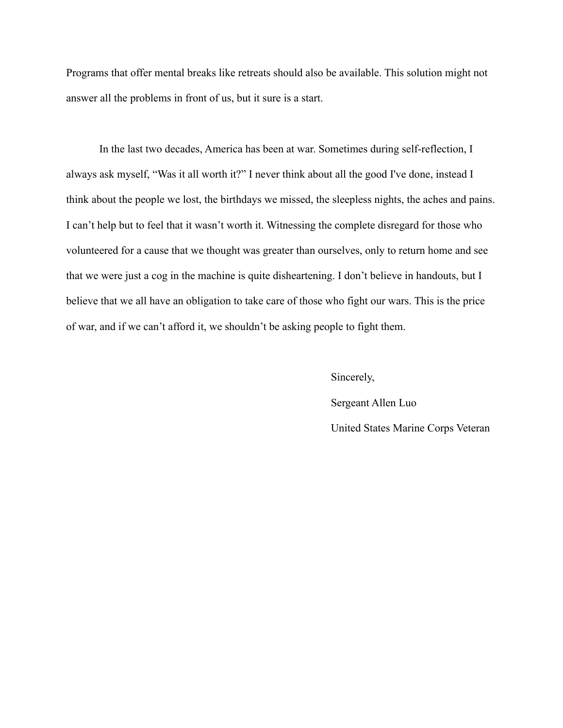Programs that offer mental breaks like retreats should also be available. This solution might not answer all the problems in front of us, but it sure is a start.

In the last two decades, America has been at war. Sometimes during self-reflection, I always ask myself, "Was it all worth it?" I never think about all the good I've done, instead I think about the people we lost, the birthdays we missed, the sleepless nights, the aches and pains. I can't help but to feel that it wasn't worth it. Witnessing the complete disregard for those who volunteered for a cause that we thought was greater than ourselves, only to return home and see that we were just a cog in the machine is quite disheartening. I don't believe in handouts, but I believe that we all have an obligation to take care of those who fight our wars. This is the price of war, and if we can't afford it, we shouldn't be asking people to fight them.

> Sincerely, Sergeant Allen Luo United States Marine Corps Veteran